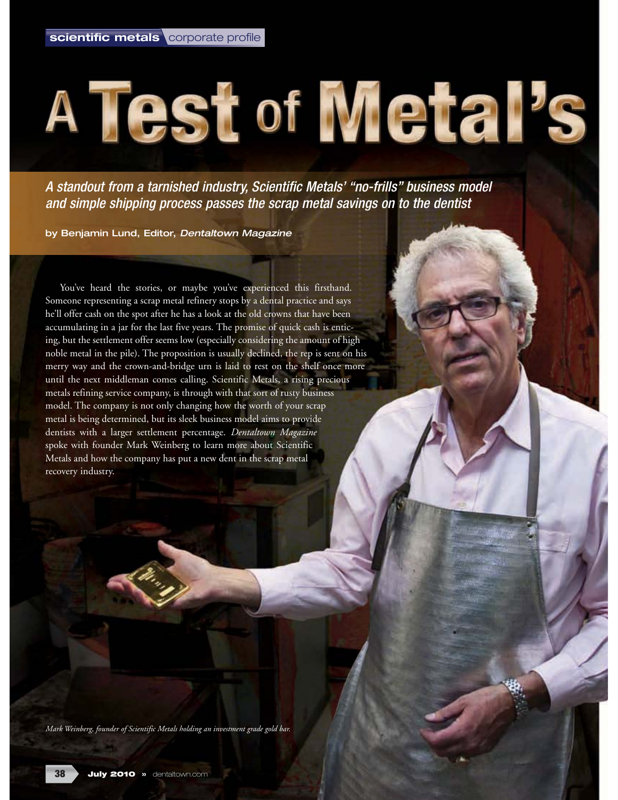# A Test of Metal's

A standout from a tarnished industry, Scientific Metals' "no-frills" business model and simple shipping process passes the scrap metal savings on to the dentist

by Benjamin Lund, Editor, Dentaltown Magazine

You've heard the stories, or maybe you've experienced this firsthand. Someone representing a scrap metal refinery stops by a dental practice and says he'll offer cash on the spot after he has a look at the old crowns that have been accumulating in a jar for the last five years. The promise of quick cash is enticing, but the settlement offer seems low (especially considering the amount of high noble metal in the pile). The proposition is usually declined, the rep is sent on his merry way and the crown-and-bridge urn is laid to rest on the shelf once more until the next middleman comes calling. Scientific Metals, a rising precious metals refining service company, is through with that sort of rusty business model. The company is not only changing how the worth of your scrap metal is being determined, but its sleek business model aims to provide dentists with a larger settlement percentage. *Dentaltown Magazine* spoke with founder Mark Weinberg to learn more about Scientific Metals and how the company has put a new dent in the scrap metal recovery industry.

*Mark Weinberg, founder of Scientific Metals holding an investment grade gold bar.*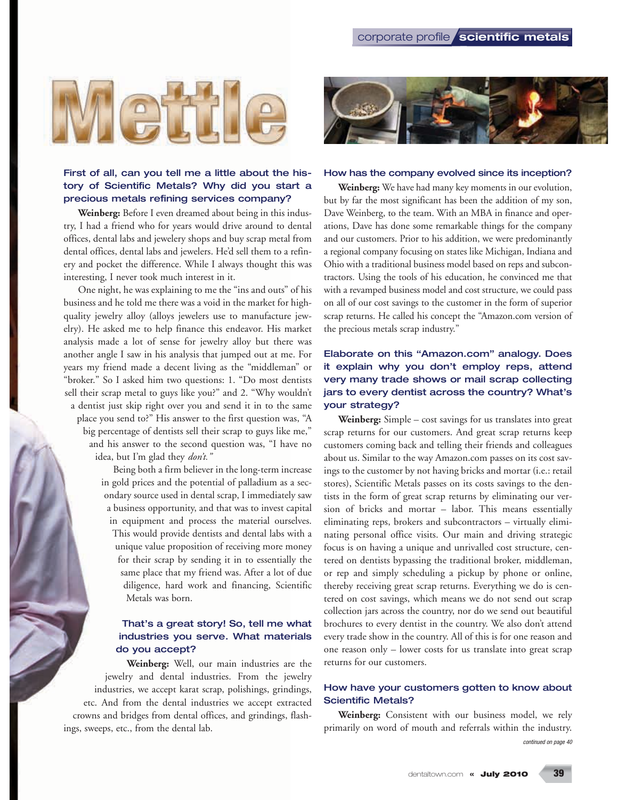

### First of all, can you tell me a little about the history of Scientific Metals? Why did you start a precious metals refining services company?

**Weinberg:** Before I even dreamed about being in this industry, I had a friend who for years would drive around to dental offices, dental labs and jewelery shops and buy scrap metal from dental offices, dental labs and jewelers. He'd sell them to a refinery and pocket the difference. While I always thought this was interesting, I never took much interest in it.

One night, he was explaining to me the "ins and outs" of his business and he told me there was a void in the market for highquality jewelry alloy (alloys jewelers use to manufacture jewelry). He asked me to help finance this endeavor. His market analysis made a lot of sense for jewelry alloy but there was another angle I saw in his analysis that jumped out at me. For years my friend made a decent living as the "middleman" or "broker." So I asked him two questions: 1. "Do most dentists sell their scrap metal to guys like you?" and 2. "Why wouldn't a dentist just skip right over you and send it in to the same place you send to?" His answer to the first question was, "A big percentage of dentists sell their scrap to guys like me," and his answer to the second question was, "I have no idea, but I'm glad they *don't."*

> Being both a firm believer in the long-term increase in gold prices and the potential of palladium as a secondary source used in dental scrap, I immediately saw a business opportunity, and that was to invest capital in equipment and process the material ourselves. This would provide dentists and dental labs with a unique value proposition of receiving more money for their scrap by sending it in to essentially the same place that my friend was. After a lot of due diligence, hard work and financing, Scientific Metals was born.

### That's a great story! So, tell me what industries you serve. What materials do you accept?

**Weinberg:** Well, our main industries are the jewelry and dental industries. From the jewelry industries, we accept karat scrap, polishings, grindings, etc. And from the dental industries we accept extracted crowns and bridges from dental offices, and grindings, flashings, sweeps, etc., from the dental lab.



#### How has the company evolved since its inception?

**Weinberg:** We have had many key moments in our evolution, but by far the most significant has been the addition of my son, Dave Weinberg, to the team. With an MBA in finance and operations, Dave has done some remarkable things for the company and our customers. Prior to his addition, we were predominantly a regional company focusing on states like Michigan, Indiana and Ohio with a traditional business model based on reps and subcontractors. Using the tools of his education, he convinced me that with a revamped business model and cost structure, we could pass on all of our cost savings to the customer in the form of superior scrap returns. He called his concept the "Amazon.com version of the precious metals scrap industry."

# Elaborate on this "Amazon.com" analogy. Does it explain why you don't employ reps, attend very many trade shows or mail scrap collecting jars to every dentist across the country? What's your strategy?

**Weinberg:** Simple – cost savings for us translates into great scrap returns for our customers. And great scrap returns keep customers coming back and telling their friends and colleagues about us. Similar to the way Amazon.com passes on its cost savings to the customer by not having bricks and mortar (i.e.: retail stores), Scientific Metals passes on its costs savings to the dentists in the form of great scrap returns by eliminating our version of bricks and mortar – labor. This means essentially eliminating reps, brokers and subcontractors – virtually eliminating personal office visits. Our main and driving strategic focus is on having a unique and unrivalled cost structure, centered on dentists bypassing the traditional broker, middleman, or rep and simply scheduling a pickup by phone or online, thereby receiving great scrap returns. Everything we do is centered on cost savings, which means we do not send out scrap collection jars across the country, nor do we send out beautiful brochures to every dentist in the country. We also don't attend every trade show in the country. All of this is for one reason and one reason only – lower costs for us translate into great scrap returns for our customers.

#### How have your customers gotten to know about Scientific Metals?

**Weinberg:** Consistent with our business model, we rely primarily on word of mouth and referrals within the industry. continued on page 40

**39**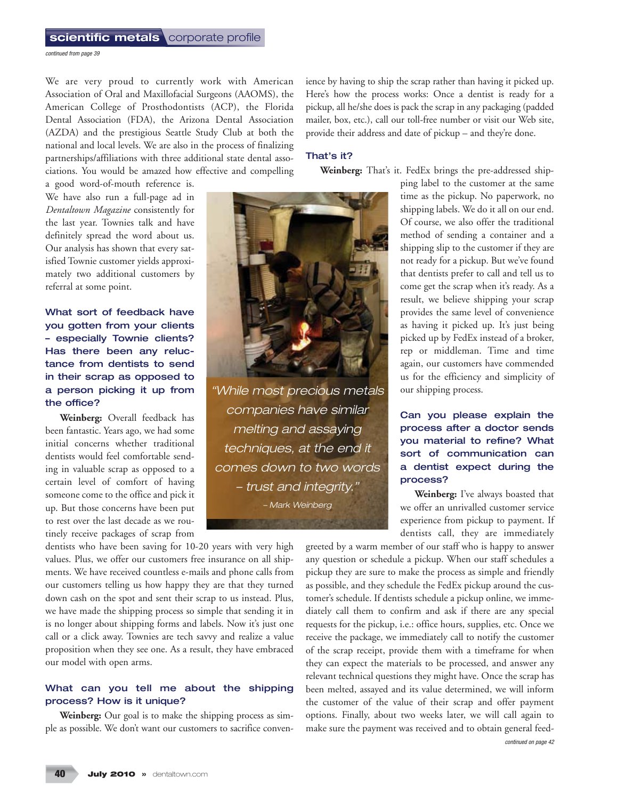continued from page 39

We are very proud to currently work with American Association of Oral and Maxillofacial Surgeons (AAOMS), the American College of Prosthodontists (ACP), the Florida Dental Association (FDA), the Arizona Dental Association (AZDA) and the prestigious Seattle Study Club at both the national and local levels. We are also in the process of finalizing partnerships/affiliations with three additional state dental associations. You would be amazed how effective and compelling

a good word-of-mouth reference is. We have also run a full-page ad in *Dentaltown Magazine* consistently for the last year. Townies talk and have definitely spread the word about us. Our analysis has shown that every satisfied Townie customer yields approximately two additional customers by referral at some point.

What sort of feedback have you gotten from your clients – especially Townie clients? Has there been any reluctance from dentists to send in their scrap as opposed to a person picking it up from the office?

**Weinberg:** Overall feedback has been fantastic. Years ago, we had some initial concerns whether traditional dentists would feel comfortable sending in valuable scrap as opposed to a certain level of comfort of having someone come to the office and pick it up. But those concerns have been put to rest over the last decade as we routinely receive packages of scrap from

dentists who have been saving for 10-20 years with very high values. Plus, we offer our customers free insurance on all shipments. We have received countless e-mails and phone calls from our customers telling us how happy they are that they turned down cash on the spot and sent their scrap to us instead. Plus, we have made the shipping process so simple that sending it in is no longer about shipping forms and labels. Now it's just one call or a click away. Townies are tech savvy and realize a value proposition when they see one. As a result, they have embraced our model with open arms.

## What can you tell me about the shipping process? How is it unique?

Weinberg: Our goal is to make the shipping process as simple as possible. We don't want our customers to sacrifice conven-

ience by having to ship the scrap rather than having it picked up. Here's how the process works: Once a dentist is ready for a pickup, all he/she does is pack the scrap in any packaging (padded mailer, box, etc.), call our toll-free number or visit our Web site, provide their address and date of pickup – and they're done.

#### That's it?

**Weinberg:** That's it. FedEx brings the pre-addressed ship-



"While most precious metals companies have similar melting and assaying techniques, at the end it comes down to two words – trust and integrity." – Mark Weinberg

ping label to the customer at the same time as the pickup. No paperwork, no shipping labels. We do it all on our end. Of course, we also offer the traditional method of sending a container and a shipping slip to the customer if they are not ready for a pickup. But we've found that dentists prefer to call and tell us to come get the scrap when it's ready. As a result, we believe shipping your scrap provides the same level of convenience as having it picked up. It's just being picked up by FedEx instead of a broker, rep or middleman. Time and time again, our customers have commended us for the efficiency and simplicity of our shipping process.

# Can you please explain the process after a doctor sends you material to refine? What sort of communication can a dentist expect during the process?

**Weinberg:** I've always boasted that we offer an unrivalled customer service experience from pickup to payment. If dentists call, they are immediately

greeted by a warm member of our staff who is happy to answer any question or schedule a pickup. When our staff schedules a pickup they are sure to make the process as simple and friendly as possible, and they schedule the FedEx pickup around the customer's schedule. If dentists schedule a pickup online, we immediately call them to confirm and ask if there are any special requests for the pickup, i.e.: office hours, supplies, etc. Once we receive the package, we immediately call to notify the customer of the scrap receipt, provide them with a timeframe for when they can expect the materials to be processed, and answer any relevant technical questions they might have. Once the scrap has been melted, assayed and its value determined, we will inform the customer of the value of their scrap and offer payment options. Finally, about two weeks later, we will call again to make sure the payment was received and to obtain general feedcontinued on page 42